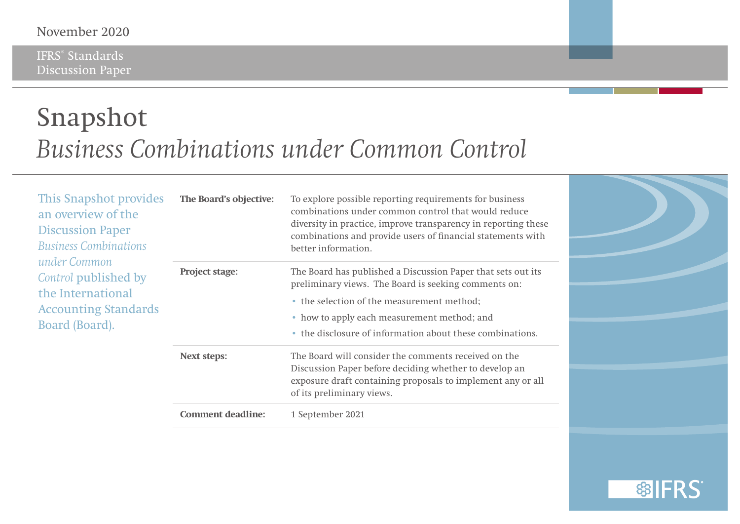#### November 2020

IFRS® Standards Discussion Paper

### Snapshot *Business Combinations under Common Control*

| This Snapshot provides<br>an overview of the<br><b>Discussion Paper</b><br><b>Business Combinations</b><br>under Common<br>Control published by<br>the International<br><b>Accounting Standards</b><br>Board (Board). | The Board's objective:   | To explore possible reporting requirements for business<br>combinations under common control that would reduce<br>diversity in practice, improve transparency in reporting these<br>combinations and provide users of financial statements with<br>better information.         |  |
|-----------------------------------------------------------------------------------------------------------------------------------------------------------------------------------------------------------------------|--------------------------|--------------------------------------------------------------------------------------------------------------------------------------------------------------------------------------------------------------------------------------------------------------------------------|--|
|                                                                                                                                                                                                                       | <b>Project stage:</b>    | The Board has published a Discussion Paper that sets out its<br>preliminary views. The Board is seeking comments on:<br>• the selection of the measurement method;<br>• how to apply each measurement method; and<br>• the disclosure of information about these combinations. |  |
|                                                                                                                                                                                                                       | <b>Next steps:</b>       | The Board will consider the comments received on the<br>Discussion Paper before deciding whether to develop an<br>exposure draft containing proposals to implement any or all<br>of its preliminary views.                                                                     |  |
|                                                                                                                                                                                                                       | <b>Comment deadline:</b> | 1 September 2021                                                                                                                                                                                                                                                               |  |

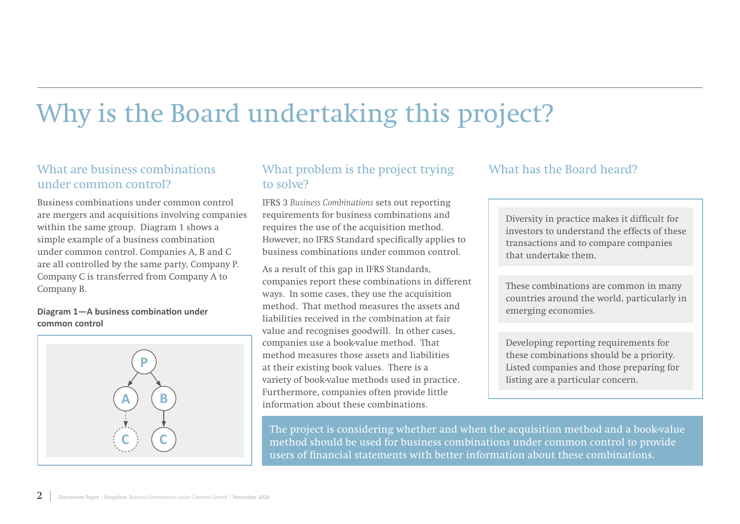## Why is the Board undertaking this project?

### What are business combinations under common control?

Business combinations under common control are mergers and acquisitions involving companies within the same group. Diagram 1 shows a simple example of a business combination under common control. Companies A, B and C are all controlled by the same party, Company P. Company C is transferred from Company A to Company B.

#### **Diagram 1—A business combination under common control**



### What problem is the project trying to solve?

IFRS 3 *Business Combinations* sets out reporting requirements for business combinations and requires the use of the acquisition method. However, no IFRS Standard specifically applies to business combinations under common control.

As a result of this gap in IFRS Standards, companies report these combinations in different ways. In some cases, they use the acquisition method. That method measures the assets and liabilities received in the combination at fair value and recognises goodwill. In other cases, companies use a book-value method. That method measures those assets and liabilities at their existing book values. There is a variety of book-value methods used in practice. Furthermore, companies often provide little information about these combinations.

#### What has the Board heard?

Diversity in practice makes it difficult for investors to understand the effects of these transactions and to compare companies that undertake them.

These combinations are common in many countries around the world, particularly in emerging economies.

Developing reporting requirements for these combinations should be a priority. Listed companies and those preparing for listing are a particular concern.

The project is considering whether and when the acquisition method and a book-value method should be used for business combinations under common control to provide users of financial statements with better information about these combinations.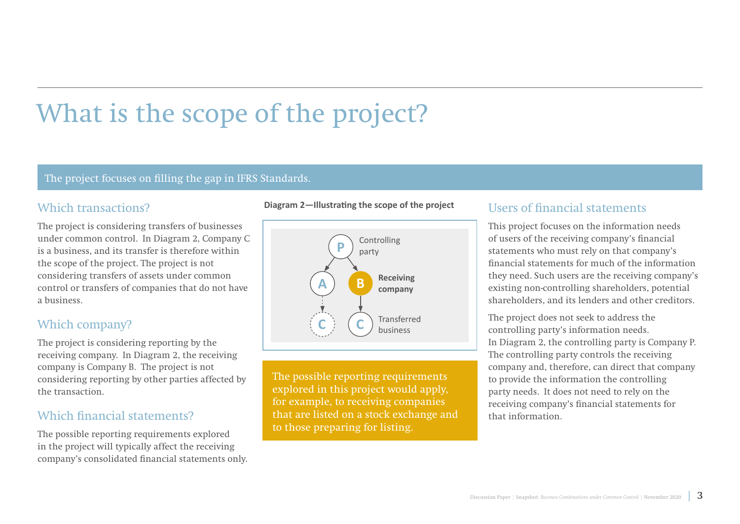# What is the scope of the project?

#### The project focuses on filling the gap in IFRS Standards.

#### Which transactions?

The project is considering transfers of businesses under common control. In Diagram 2, Company C is a business, and its transfer is therefore within the scope of the project. The project is not considering transfers of assets under common control or transfers of companies that do not have a business.

### Which company?

The project is considering reporting by the receiving company. In Diagram 2, the receiving company is Company B. The project is not considering reporting by other parties affected by the transaction.

#### Which financial statements?

The possible reporting requirements explored in the project will typically affect the receiving company's consolidated financial statements only.





The possible reporting requirements explored in this project would apply, for example, to receiving companies that are listed on a stock exchange and to those preparing for listing.

#### Users of financial statements

This project focuses on the information needs of users of the receiving company's financial statements who must rely on that company's financial statements for much of the information they need. Such users are the receiving company's existing non-controlling shareholders, potential shareholders, and its lenders and other creditors.

The project does not seek to address the controlling party's information needs. In Diagram 2, the controlling party is Company P. The controlling party controls the receiving company and, therefore, can direct that company to provide the information the controlling party needs. It does not need to rely on the receiving company's financial statements for that information.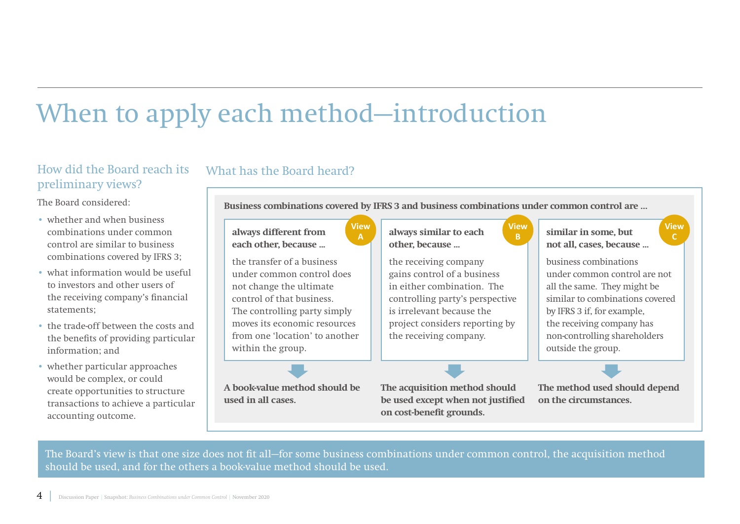### When to apply each method—introduction

### How did the Board reach its preliminary views?

The Board considered:

- whether and when business combinations under common control are similar to business combinations covered by IFRS 3;
- what information would be useful to investors and other users of the receiving company's financial statements;
- the trade-off between the costs and the benefits of providing particular information; and
- whether particular approaches would be complex, or could create opportunities to structure transactions to achieve a particular accounting outcome.

**Business combinations covered by IFRS 3 and business combinations under common control are …**

#### **always different from each other, because ...**

What has the Board heard?

the transfer of a business under common control does not change the ultimate control of that business. The controlling party simply moves its economic resources from one 'location' to another within the group.

**A book-value method should be used in all cases.**

**always similar to each other, because ...**

the receiving company gains control of a business in either combination. The controlling party's perspective is irrelevant because the project considers reporting by the receiving company.

**View**

**The acquisition method should be used except when not justified on cost-benefit grounds.**

**similar in some, but not all, cases, because ...**

business combinations under common control are not all the same. They might be similar to combinations covered by IFRS 3 if, for example, the receiving company has non-controlling shareholders outside the group.

**View**

**The method used should depend on the circumstances.**

The Board's view is that one size does not fit all—for some business combinations under common control, the acquisition method should be used, and for the others a book-value method should be used.

**View A**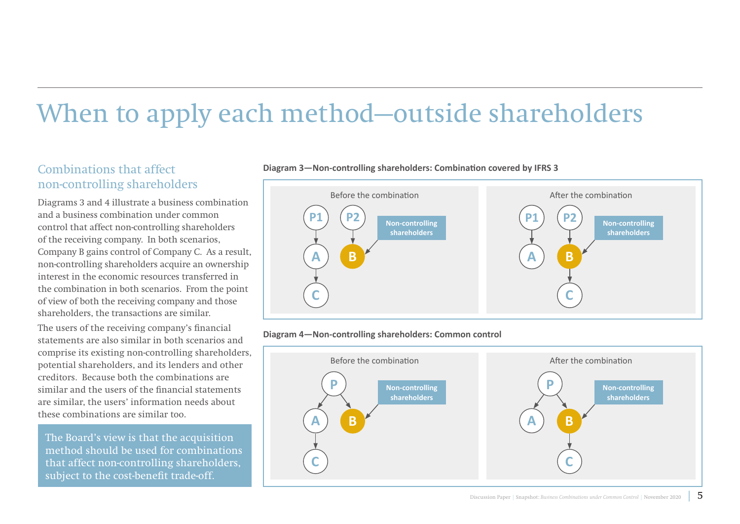## When to apply each method—outside shareholders

### Combinations that affect non-controlling shareholders

Diagrams 3 and 4 illustrate a business combination and a business combination under common control that affect non-controlling shareholders of the receiving company. In both scenarios, Company B gains control of Company C. As a result, non-controlling shareholders acquire an ownership interest in the economic resources transferred in the combination in both scenarios. From the point of view of both the receiving company and those shareholders, the transactions are similar.

The users of the receiving company's financial statements are also similar in both scenarios and comprise its existing non-controlling shareholders, potential shareholders, and its lenders and other creditors. Because both the combinations are similar and the users of the financial statements are similar, the users' information needs about these combinations are similar too.

The Board's view is that the acquisition method should be used for combinations that affect non-controlling shareholders, subject to the cost-benefit trade-off.



#### **Diagram 3—Non-controlling shareholders: Combination covered by IFRS 3**



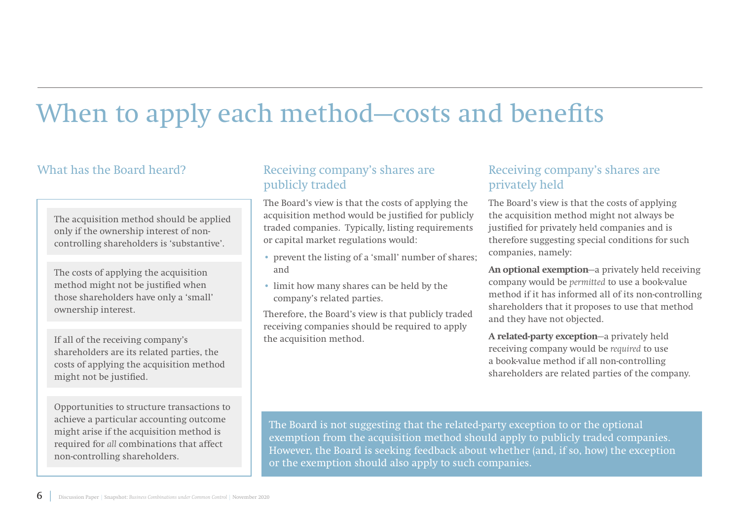## When to apply each method–costs and benefits

### What has the Board heard?

The acquisition method should be applied only if the ownership interest of noncontrolling shareholders is 'substantive'.

The costs of applying the acquisition method might not be justified when those shareholders have only a 'small' ownership interest.

If all of the receiving company's shareholders are its related parties, the costs of applying the acquisition method might not be justified.

Opportunities to structure transactions to achieve a particular accounting outcome might arise if the acquisition method is required for *all* combinations that affect non-controlling shareholders.

#### Receiving company's shares are publicly traded

The Board's view is that the costs of applying the acquisition method would be justified for publicly traded companies. Typically, listing requirements or capital market regulations would:

- prevent the listing of a 'small' number of shares; and
- limit how many shares can be held by the company's related parties.

Therefore, the Board's view is that publicly traded receiving companies should be required to apply the acquisition method.

### Receiving company's shares are privately held

The Board's view is that the costs of applying the acquisition method might not always be justified for privately held companies and is therefore suggesting special conditions for such companies, namely:

**An optional exemption**—a privately held receiving company would be *permitted* to use a book-value method if it has informed all of its non-controlling shareholders that it proposes to use that method and they have not objected.

**A related-party exception**—a privately held receiving company would be *required* to use a book-value method if all non-controlling shareholders are related parties of the company.

The Board is not suggesting that the related-party exception to or the optional exemption from the acquisition method should apply to publicly traded companies. However, the Board is seeking feedback about whether (and, if so, how) the exception or the exemption should also apply to such companies.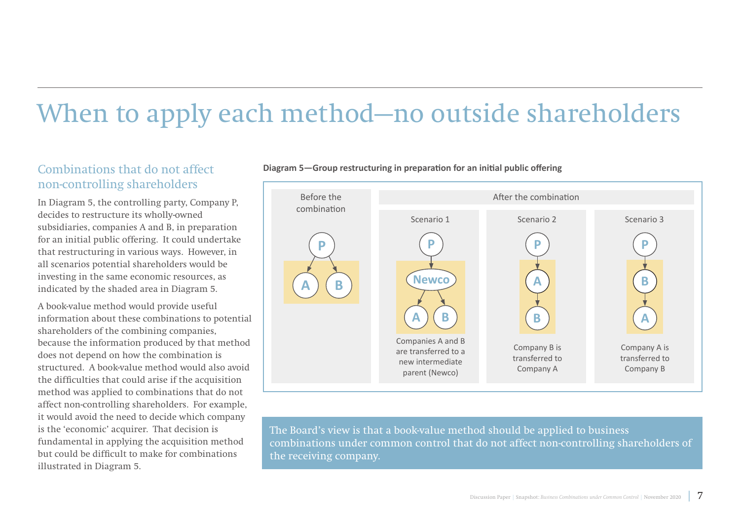## When to apply each method—no outside shareholders

### Combinations that do not affect non-controlling shareholders

In Diagram 5, the controlling party, Company P, decides to restructure its wholly-owned subsidiaries, companies A and B, in preparation for an initial public offering. It could undertake that restructuring in various ways. However, in all scenarios potential shareholders would be investing in the same economic resources, as indicated by the shaded area in Diagram 5.

A book-value method would provide useful information about these combinations to potential shareholders of the combining companies, because the information produced by that method does not depend on how the combination is structured. A book-value method would also avoid the difficulties that could arise if the acquisition method was applied to combinations that do not affect non-controlling shareholders. For example, it would avoid the need to decide which company is the 'economic' acquirer. That decision is fundamental in applying the acquisition method but could be difficult to make for combinations illustrated in Diagram 5.



**Diagram 5—Group restructuring in preparation for an initial public offering**

The Board's view is that a book-value method should be applied to business combinations under common control that do not affect non-controlling shareholders of the receiving company.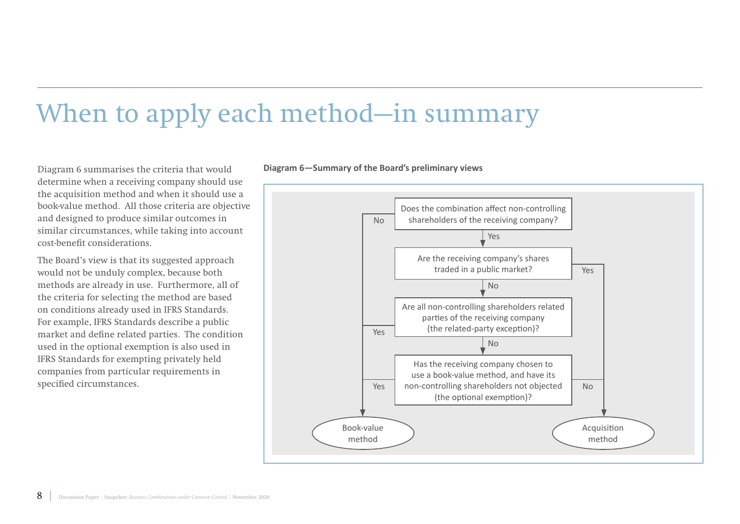### When to apply each method—in summary

Diagram 6 summarises the criteria that would determine when a receiving company should use the acquisition method and when it should use a book-value method. All those criteria are objective and designed to produce similar outcomes in similar circumstances, while taking into account cost-benefit considerations.

The Board's view is that its suggested approach would not be unduly complex, because both methods are already in use. Furthermore, all of the criteria for selecting the method are based on conditions already used in IFRS Standards. For example, IFRS Standards describe a public market and define related parties. The condition used in the optional exemption is also used in IFRS Standards for exempting privately held companies from particular requirements in specified circumstances.

**Diagram 6—Summary of the Board's preliminary views**

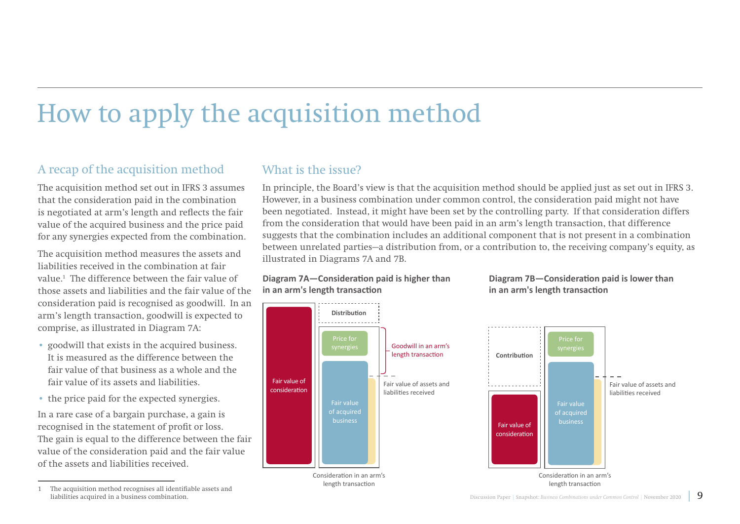## How to apply the acquisition method

### A recap of the acquisition method

The acquisition method set out in IFRS 3 assumes that the consideration paid in the combination is negotiated at arm's length and reflects the fair value of the acquired business and the price paid for any synergies expected from the combination.

The acquisition method measures the assets and liabilities received in the combination at fair value.1 The difference between the fair value of those assets and liabilities and the fair value of the consideration paid is recognised as goodwill. In an arm's length transaction, goodwill is expected to comprise, as illustrated in Diagram 7A:

- goodwill that exists in the acquired business. It is measured as the difference between the fair value of that business as a whole and the fair value of its assets and liabilities.
- the price paid for the expected synergies.

In a rare case of a bargain purchase, a gain is recognised in the statement of profit or loss. The gain is equal to the difference between the fair value of the consideration paid and the fair value of the assets and liabilities received.

#### 1 The acquisition method recognises all identifiable assets and liabilities acquired in a business combination.

### What is the issue?

In principle, the Board's view is that the acquisition method should be applied just as set out in IFRS 3. However, in a business combination under common control, the consideration paid might not have been negotiated. Instead, it might have been set by the controlling party. If that consideration differs from the consideration that would have been paid in an arm's length transaction, that difference suggests that the combination includes an additional component that is not present in a combination between unrelated parties—a distribution from, or a contribution to, the receiving company's equity, as illustrated in Diagrams 7A and 7B.

#### **Diagram 7A—Consideration paid is higher than in an arm's length transaction**



#### **Diagram 7B—Consideration paid is lower than in an arm's length transaction**

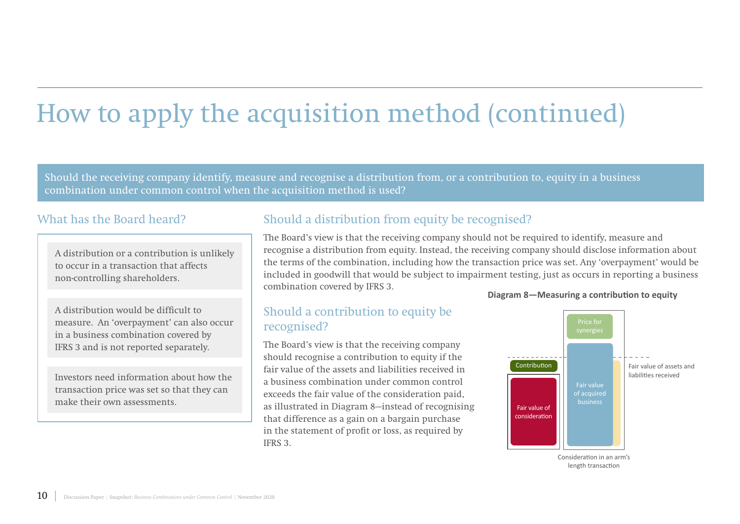# How to apply the acquisition method (continued)

Should the receiving company identify, measure and recognise a distribution from, or a contribution to, equity in a business combination under common control when the acquisition method is used?

#### What has the Board heard?

A distribution or a contribution is unlikely to occur in a transaction that affects non-controlling shareholders.

A distribution would be difficult to measure. An 'overpayment' can also occur in a business combination covered by IFRS 3 and is not reported separately.

Investors need information about how the transaction price was set so that they can make their own assessments.

### Should a distribution from equity be recognised?

The Board's view is that the receiving company should not be required to identify, measure and recognise a distribution from equity. Instead, the receiving company should disclose information about the terms of the combination, including how the transaction price was set. Any 'overpayment' would be included in goodwill that would be subject to impairment testing, just as occurs in reporting a business combination covered by IFRS 3. **Diagram 8—Measuring a contribution to equity**

#### Should a contribution to equity be recognised?

The Board's view is that the receiving company should recognise a contribution to equity if the fair value of the assets and liabilities received in a business combination under common control exceeds the fair value of the consideration paid, as illustrated in Diagram 8—instead of recognising that difference as a gain on a bargain purchase in the statement of profit or loss, as required by IFRS 3.



length transaction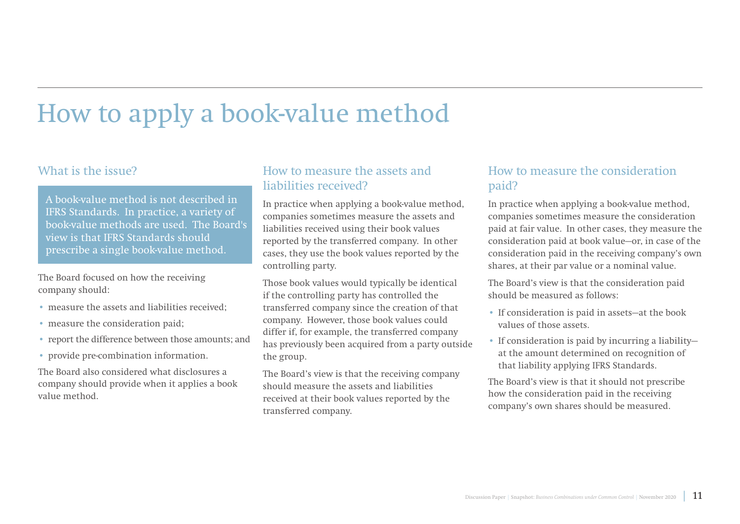## How to apply a book-value method

#### What is the issue?

A book-value method is not described in IFRS Standards. In practice, a variety of book-value methods are used. The Board's view is that IFRS Standards should prescribe a single book-value method.

The Board focused on how the receiving company should:

- measure the assets and liabilities received;
- measure the consideration paid;
- report the difference between those amounts; and
- provide pre-combination information.

The Board also considered what disclosures a company should provide when it applies a book value method.

#### How to measure the assets and liabilities received?

In practice when applying a book-value method, companies sometimes measure the assets and liabilities received using their book values reported by the transferred company. In other cases, they use the book values reported by the controlling party.

Those book values would typically be identical if the controlling party has controlled the transferred company since the creation of that company. However, those book values could differ if, for example, the transferred company has previously been acquired from a party outside the group.

The Board's view is that the receiving company should measure the assets and liabilities received at their book values reported by the transferred company.

### How to measure the consideration paid?

In practice when applying a book-value method, companies sometimes measure the consideration paid at fair value. In other cases, they measure the consideration paid at book value—or, in case of the consideration paid in the receiving company's own shares, at their par value or a nominal value.

The Board's view is that the consideration paid should be measured as follows:

- If consideration is paid in assets—at the book values of those assets.
- If consideration is paid by incurring a liability at the amount determined on recognition of that liability applying IFRS Standards.

The Board's view is that it should not prescribe how the consideration paid in the receiving company's own shares should be measured.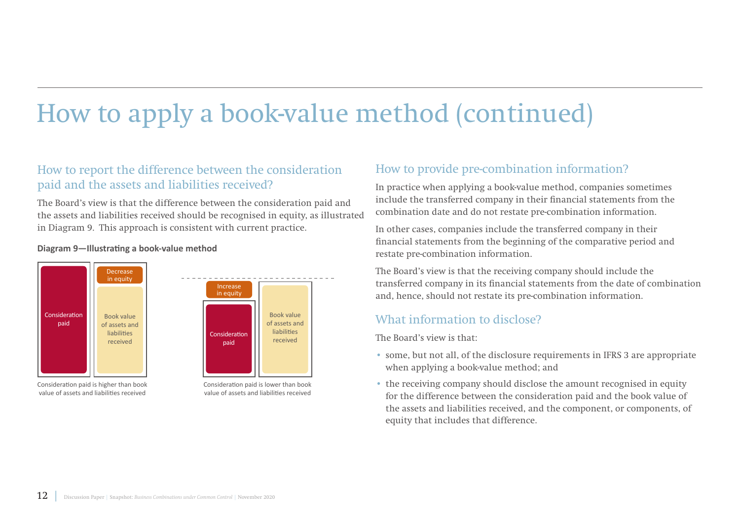## How to apply a book-value method (continued)

### How to report the difference between the consideration paid and the assets and liabilities received?

The Board's view is that the difference between the consideration paid and the assets and liabilities received should be recognised in equity, as illustrated in Diagram 9. This approach is consistent with current practice.

#### **Diagram 9—Illustrating a book-value method**



Consideration paid is higher than book value of assets and liabilities received

Consideration paid is lower than book value of assets and liabilities received

### How to provide pre-combination information?

In practice when applying a book-value method, companies sometimes include the transferred company in their financial statements from the combination date and do not restate pre-combination information.

In other cases, companies include the transferred company in their financial statements from the beginning of the comparative period and restate pre-combination information.

The Board's view is that the receiving company should include the transferred company in its financial statements from the date of combination and, hence, should not restate its pre-combination information.

### What information to disclose?

The Board's view is that:

- some, but not all, of the disclosure requirements in IFRS 3 are appropriate when applying a book-value method; and
- the receiving company should disclose the amount recognised in equity for the difference between the consideration paid and the book value of the assets and liabilities received, and the component, or components, of equity that includes that difference.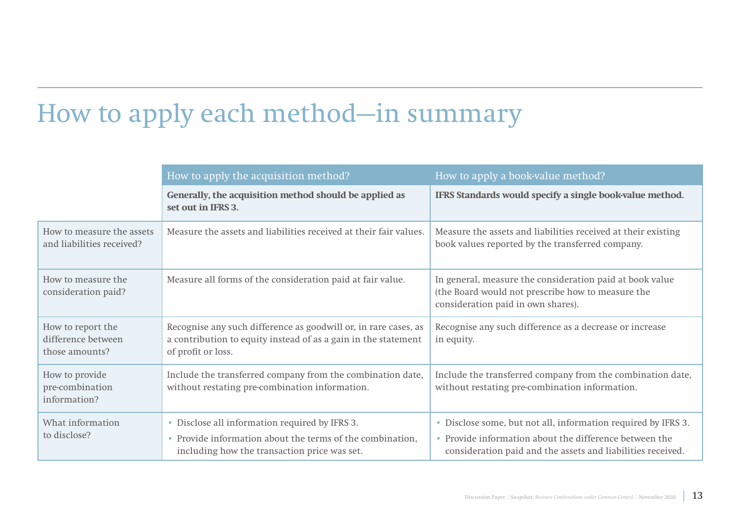## How to apply each method—in summary

|                                                           | How to apply the acquisition method?                                                                                                                        | How to apply a book-value method?                                                                                                                                                      |  |
|-----------------------------------------------------------|-------------------------------------------------------------------------------------------------------------------------------------------------------------|----------------------------------------------------------------------------------------------------------------------------------------------------------------------------------------|--|
|                                                           | Generally, the acquisition method should be applied as<br>set out in IFRS 3.                                                                                | IFRS Standards would specify a single book-value method.                                                                                                                               |  |
| How to measure the assets<br>and liabilities received?    | Measure the assets and liabilities received at their fair values.                                                                                           | Measure the assets and liabilities received at their existing<br>book values reported by the transferred company.                                                                      |  |
| How to measure the<br>consideration paid?                 | Measure all forms of the consideration paid at fair value.                                                                                                  | In general, measure the consideration paid at book value<br>(the Board would not prescribe how to measure the<br>consideration paid in own shares).                                    |  |
| How to report the<br>difference between<br>those amounts? | Recognise any such difference as goodwill or, in rare cases, as<br>a contribution to equity instead of as a gain in the statement<br>of profit or loss.     | Recognise any such difference as a decrease or increase<br>in equity.                                                                                                                  |  |
| How to provide<br>pre-combination<br>information?         | Include the transferred company from the combination date,<br>without restating pre-combination information.                                                | Include the transferred company from the combination date,<br>without restating pre-combination information.                                                                           |  |
| What information<br>to disclose?                          | • Disclose all information required by IFRS 3.<br>• Provide information about the terms of the combination,<br>including how the transaction price was set. | • Disclose some, but not all, information required by IFRS 3.<br>• Provide information about the difference between the<br>consideration paid and the assets and liabilities received. |  |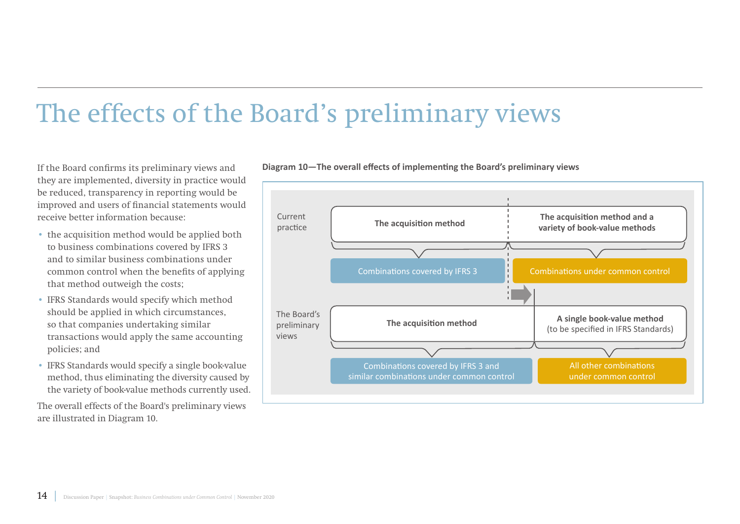## The effects of the Board's preliminary views

If the Board confirms its preliminary views and they are implemented, diversity in practice would be reduced, transparency in reporting would be improved and users of financial statements would receive better information because:

- the acquisition method would be applied both to business combinations covered by IFRS 3 and to similar business combinations under common control when the benefits of applying that method outweigh the costs;
- IFRS Standards would specify which method should be applied in which circumstances, so that companies undertaking similar transactions would apply the same accounting policies; and
- IFRS Standards would specify a single book-value method, thus eliminating the diversity caused by the variety of book-value methods currently used.

The overall effects of the Board's preliminary views are illustrated in Diagram 10.



**Diagram 10—The overall effects of implementing the Board's preliminary views**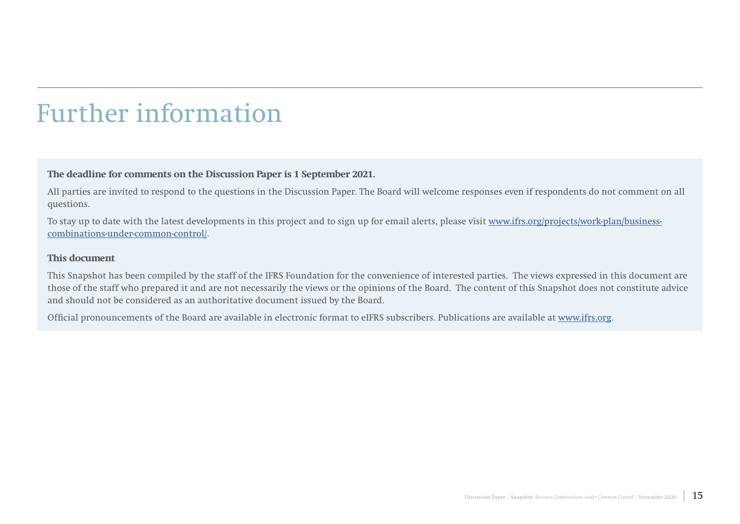## Further information

#### **The deadline for comments on the Discussion Paper is 1 September 2021.**

All parties are invited to respond to the questions in the Discussion Paper. The Board will welcome responses even if respondents do not comment on all questions.

To stay up to date with the latest developments in this project and to sign up for email alerts, please visit [www.ifrs.org/projects/work-plan/business](https://www.ifrs.org/projects/work-plan/business-combinations-under-common-control/)[combinations-under-common-control/](https://www.ifrs.org/projects/work-plan/business-combinations-under-common-control/).

#### **This document**

This Snapshot has been compiled by the staff of the IFRS Foundation for the convenience of interested parties. The views expressed in this document are those of the staff who prepared it and are not necessarily the views or the opinions of the Board. The content of this Snapshot does not constitute advice and should not be considered as an authoritative document issued by the Board.

Official pronouncements of the Board are available in electronic format to eIFRS subscribers. Publications are available at www.ifrs.org.